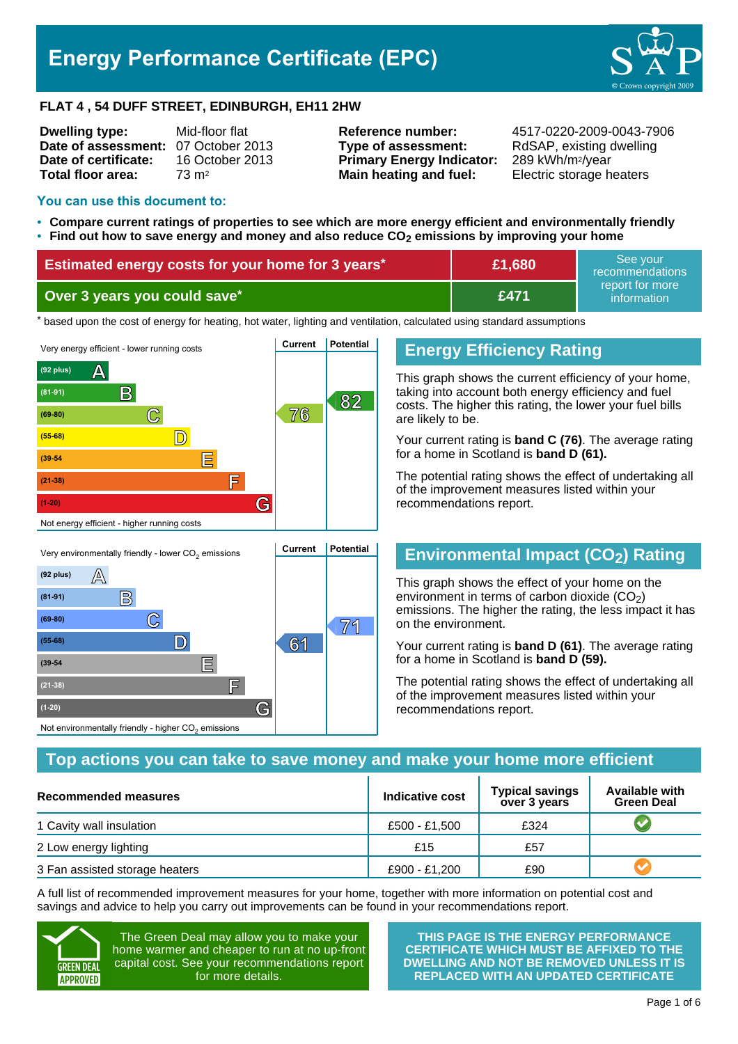# **Energy Performance Certificate (EPC)**



#### **FLAT 4 , 54 DUFF STREET, EDINBURGH, EH11 2HW**

| <b>Dwelling type:</b>               | Mid-floor flat   |
|-------------------------------------|------------------|
| Date of assessment: 07 October 2013 |                  |
| Date of certificate:                | 16 October 2013  |
| Total floor area:                   | $73 \text{ m}^2$ |
|                                     |                  |

**Type of assessment:** RdSAP, existing dwelling **Primary Energy Indicator:** 289 kWh/m2/year **Main heating and fuel:** Electric storage heaters

**Reference number:** 4517-0220-2009-0043-7906

#### **You can use this document to:**

**(39-54 E**

**(21-38) F**

Not environmentally friendly - higher  $\mathrm{CO}_2$  emissions

**(1-20) G**

- **Compare current ratings of properties to see which are more energy efficient and environmentally friendly**
- **Find out how to save energy and money and also reduce CO2 emissions by improving your home**

| <b>Estimated energy costs for your home for 3 years*</b> | £1,680 | See vour<br>recommendations    |
|----------------------------------------------------------|--------|--------------------------------|
| Over 3 years you could save*                             | £471   | report for more<br>information |

thased upon the cost of energy for heating, hot water, lighting and ventilation, calculated using standard assumptions



### **Energy Efficiency Rating**

This graph shows the current efficiency of your home, taking into account both energy efficiency and fuel costs. The higher this rating, the lower your fuel bills are likely to be.

Your current rating is **band C (76)**. The average rating for a home in Scotland is **band D (61).**

The potential rating shows the effect of undertaking all of the improvement measures listed within your recommendations report.

# **Environmental Impact (CO2) Rating**

This graph shows the effect of your home on the environment in terms of carbon dioxide  $(CO<sub>2</sub>)$ emissions. The higher the rating, the less impact it has on the environment.

Your current rating is **band D (61)**. The average rating for a home in Scotland is **band D (59).**

The potential rating shows the effect of undertaking all of the improvement measures listed within your recommendations report.

### **Top actions you can take to save money and make your home more efficient**

| Recommended measures           | Indicative cost | <b>Typical savings</b><br>over 3 years | <b>Available with</b><br><b>Green Deal</b> |
|--------------------------------|-----------------|----------------------------------------|--------------------------------------------|
| 1 Cavity wall insulation       | £500 - £1.500   | £324                                   |                                            |
| 2 Low energy lighting          | £15             | £57                                    |                                            |
| 3 Fan assisted storage heaters | £900 - £1,200   | £90                                    |                                            |

A full list of recommended improvement measures for your home, together with more information on potential cost and savings and advice to help you carry out improvements can be found in your recommendations report.



The Green Deal may allow you to make your home warmer and cheaper to run at no up-front capital cost. See your recommendations report for more details.

**THIS PAGE IS THE ENERGY PERFORMANCE CERTIFICATE WHICH MUST BE AFFIXED TO THE DWELLING AND NOT BE REMOVED UNLESS IT IS REPLACED WITH AN UPDATED CERTIFICATE**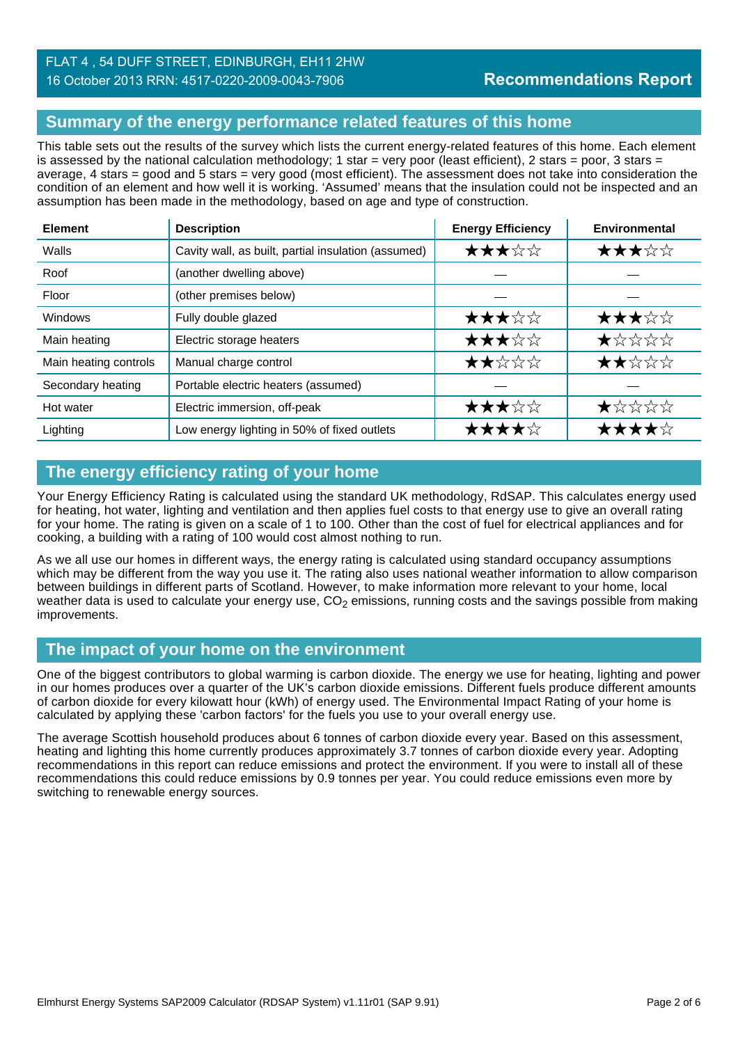### FLAT 4 , 54 DUFF STREET, EDINBURGH, EH11 2HW 16 October 2013 RRN: 4517-0220-2009-0043-7906

# **Summary of the energy performance related features of this home**

This table sets out the results of the survey which lists the current energy-related features of this home. Each element is assessed by the national calculation methodology; 1 star = very poor (least efficient), 2 stars = poor, 3 stars = average, 4 stars = good and 5 stars = very good (most efficient). The assessment does not take into consideration the condition of an element and how well it is working. 'Assumed' means that the insulation could not be inspected and an assumption has been made in the methodology, based on age and type of construction.

| <b>Element</b>        | <b>Description</b>                                  | <b>Energy Efficiency</b> | Environmental      |
|-----------------------|-----------------------------------------------------|--------------------------|--------------------|
| Walls                 | Cavity wall, as built, partial insulation (assumed) | ★★★☆☆                    | ★★★☆☆              |
| Roof                  | (another dwelling above)                            |                          |                    |
| Floor                 | (other premises below)                              |                          |                    |
| <b>Windows</b>        | Fully double glazed                                 | ★★★☆☆                    | ★★★☆☆              |
| Main heating          | Electric storage heaters                            | ★★★☆☆                    | $\bigstar x x x x$ |
| Main heating controls | Manual charge control                               | ★★☆☆☆                    | ★★☆☆☆              |
| Secondary heating     | Portable electric heaters (assumed)                 |                          |                    |
| Hot water             | Electric immersion, off-peak                        | ★★★☆☆                    | ★☆☆☆☆              |
| Lighting              | Low energy lighting in 50% of fixed outlets         | ★★★★☆                    | ★★★★☆              |

# **The energy efficiency rating of your home**

Your Energy Efficiency Rating is calculated using the standard UK methodology, RdSAP. This calculates energy used for heating, hot water, lighting and ventilation and then applies fuel costs to that energy use to give an overall rating for your home. The rating is given on a scale of 1 to 100. Other than the cost of fuel for electrical appliances and for cooking, a building with a rating of 100 would cost almost nothing to run.

As we all use our homes in different ways, the energy rating is calculated using standard occupancy assumptions which may be different from the way you use it. The rating also uses national weather information to allow comparison between buildings in different parts of Scotland. However, to make information more relevant to your home, local weather data is used to calculate your energy use,  $CO<sub>2</sub>$  emissions, running costs and the savings possible from making improvements.

### **The impact of your home on the environment**

One of the biggest contributors to global warming is carbon dioxide. The energy we use for heating, lighting and power in our homes produces over a quarter of the UK's carbon dioxide emissions. Different fuels produce different amounts of carbon dioxide for every kilowatt hour (kWh) of energy used. The Environmental Impact Rating of your home is calculated by applying these 'carbon factors' for the fuels you use to your overall energy use.

The average Scottish household produces about 6 tonnes of carbon dioxide every year. Based on this assessment, heating and lighting this home currently produces approximately 3.7 tonnes of carbon dioxide every year. Adopting recommendations in this report can reduce emissions and protect the environment. If you were to install all of these recommendations this could reduce emissions by 0.9 tonnes per year. You could reduce emissions even more by switching to renewable energy sources.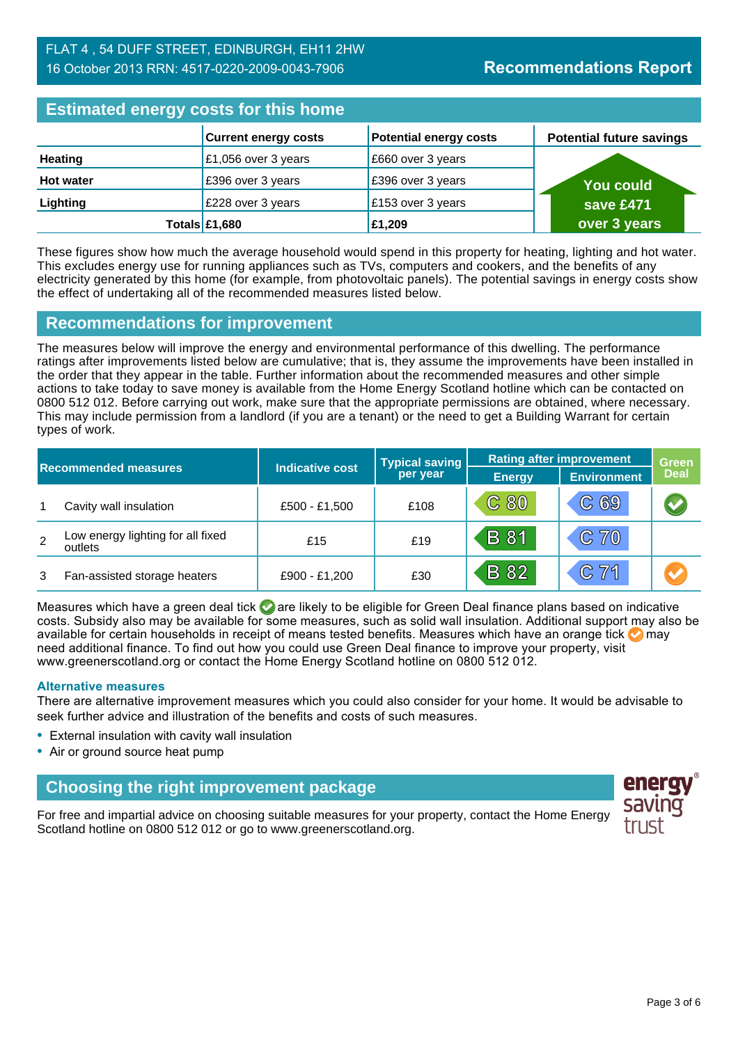### FLAT 4 , 54 DUFF STREET, EDINBURGH, EH11 2HW 16 October 2013 RRN: 4517-0220-2009-0043-7906

# **Estimated energy costs for this home**

| Editional and all and the time hand |                             |                               |                                 |
|-------------------------------------|-----------------------------|-------------------------------|---------------------------------|
|                                     | <b>Current energy costs</b> | <b>Potential energy costs</b> | <b>Potential future savings</b> |
| <b>Heating</b>                      | £1,056 over 3 years         | £660 over 3 years             |                                 |
| <b>Hot water</b>                    | £396 over 3 years           | £396 over 3 years             | <b>You could</b>                |
| Lighting                            | £228 over 3 years           | £153 over 3 years             | save £471                       |
|                                     | Totals £1,680               | £1,209                        | over 3 years                    |

These figures show how much the average household would spend in this property for heating, lighting and hot water. This excludes energy use for running appliances such as TVs, computers and cookers, and the benefits of any electricity generated by this home (for example, from photovoltaic panels). The potential savings in energy costs show the effect of undertaking all of the recommended measures listed below.

### **Recommendations for improvement**

The measures below will improve the energy and environmental performance of this dwelling. The performance ratings after improvements listed below are cumulative; that is, they assume the improvements have been installed in the order that they appear in the table. Further information about the recommended measures and other simple actions to take today to save money is available from the Home Energy Scotland hotline which can be contacted on 0800 512 012. Before carrying out work, make sure that the appropriate permissions are obtained, where necessary. This may include permission from a landlord (if you are a tenant) or the need to get a Building Warrant for certain types of work.

|   |                                              |                 | <b>Typical saving</b> | <b>Rating after improvement</b> |                    | <b>Green</b> |  |
|---|----------------------------------------------|-----------------|-----------------------|---------------------------------|--------------------|--------------|--|
|   | <b>Recommended measures</b>                  | Indicative cost | per year              | <b>Energy</b>                   | <b>Environment</b> | <b>Deal</b>  |  |
|   | Cavity wall insulation                       | £500 - £1,500   | £108                  | C80                             | C69                |              |  |
| 2 | Low energy lighting for all fixed<br>outlets | £15             | £19                   | <b>B</b> 81                     | C 70               |              |  |
| 3 | Fan-assisted storage heaters                 | £900 - £1,200   | £30                   | <b>B</b> 82                     | C71                |              |  |

Measures which have a green deal tick  $\bullet$  are likely to be eligible for Green Deal finance plans based on indicative costs. Subsidy also may be available for some measures, such as solid wall insulation. Additional support may also be available for certain households in receipt of means tested benefits. Measures which have an orange tick **on** may need additional finance. To find out how you could use Green Deal finance to improve your property, visit www.greenerscotland.org or contact the Home Energy Scotland hotline on 0800 512 012.

#### **Alternative measures**

There are alternative improvement measures which you could also consider for your home. It would be advisable to seek further advice and illustration of the benefits and costs of such measures.

- External insulation with cavity wall insulation
- Air or ground source heat pump

# **Choosing the right improvement package**

For free and impartial advice on choosing suitable measures for your property, contact the Home Energy Scotland hotline on 0800 512 012 or go to www.greenerscotland.org.

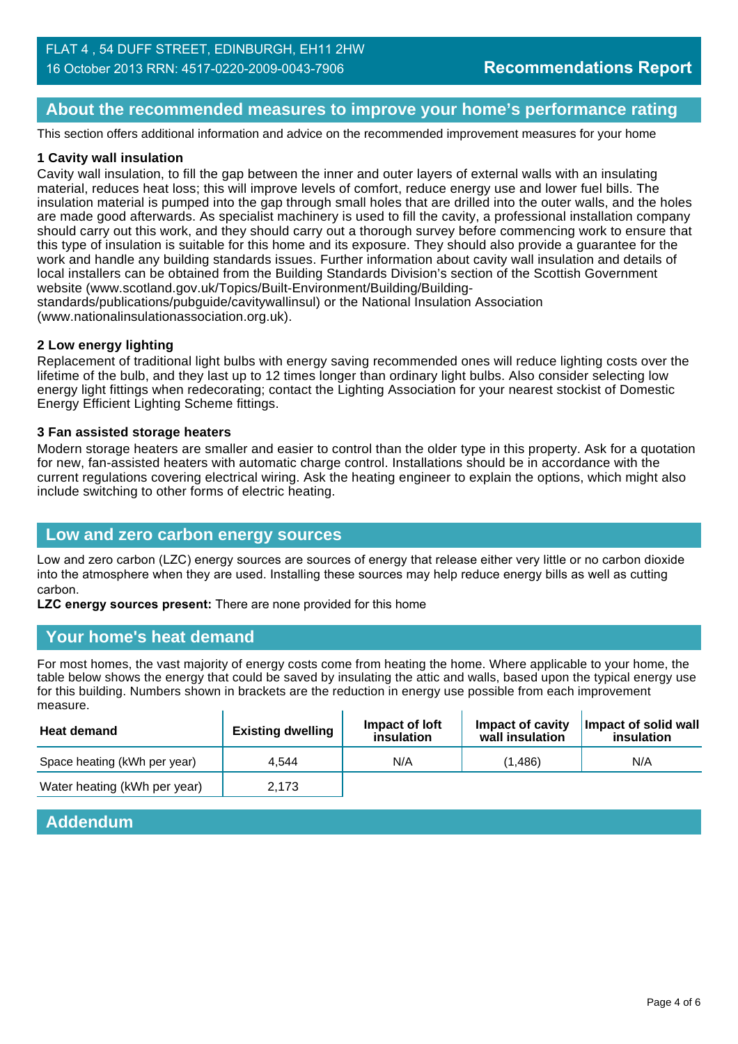### **About the recommended measures to improve your home's performance rating**

This section offers additional information and advice on the recommended improvement measures for your home

#### **1 Cavity wall insulation**

Cavity wall insulation, to fill the gap between the inner and outer layers of external walls with an insulating material, reduces heat loss; this will improve levels of comfort, reduce energy use and lower fuel bills. The insulation material is pumped into the gap through small holes that are drilled into the outer walls, and the holes are made good afterwards. As specialist machinery is used to fill the cavity, a professional installation company should carry out this work, and they should carry out a thorough survey before commencing work to ensure that this type of insulation is suitable for this home and its exposure. They should also provide a guarantee for the work and handle any building standards issues. Further information about cavity wall insulation and details of local installers can be obtained from the Building Standards Division's section of the Scottish Government website (www.scotland.gov.uk/Topics/Built-Environment/Building/Building-

standards/publications/pubguide/cavitywallinsul) or the National Insulation Association (www.nationalinsulationassociation.org.uk).

#### **2 Low energy lighting**

Replacement of traditional light bulbs with energy saving recommended ones will reduce lighting costs over the lifetime of the bulb, and they last up to 12 times longer than ordinary light bulbs. Also consider selecting low energy light fittings when redecorating; contact the Lighting Association for your nearest stockist of Domestic Energy Efficient Lighting Scheme fittings.

#### **3 Fan assisted storage heaters**

Modern storage heaters are smaller and easier to control than the older type in this property. Ask for a quotation for new, fan-assisted heaters with automatic charge control. Installations should be in accordance with the current regulations covering electrical wiring. Ask the heating engineer to explain the options, which might also include switching to other forms of electric heating.

### **Low and zero carbon energy sources**

Low and zero carbon (LZC) energy sources are sources of energy that release either very little or no carbon dioxide into the atmosphere when they are used. Installing these sources may help reduce energy bills as well as cutting carbon.

**LZC energy sources present:** There are none provided for this home

### **Your home's heat demand**

For most homes, the vast majority of energy costs come from heating the home. Where applicable to your home, the table below shows the energy that could be saved by insulating the attic and walls, based upon the typical energy use for this building. Numbers shown in brackets are the reduction in energy use possible from each improvement measure.

| <b>Heat demand</b>           | <b>Existing dwelling</b> | Impact of loft<br>insulation | Impact of cavity<br>wall insulation | Impact of solid wall<br>insulation |
|------------------------------|--------------------------|------------------------------|-------------------------------------|------------------------------------|
| Space heating (kWh per year) | 4.544                    | N/A                          | (1.486)                             | N/A                                |
| Water heating (kWh per year) | 2.173                    |                              |                                     |                                    |

| <b>Addendum</b> |  |
|-----------------|--|
|                 |  |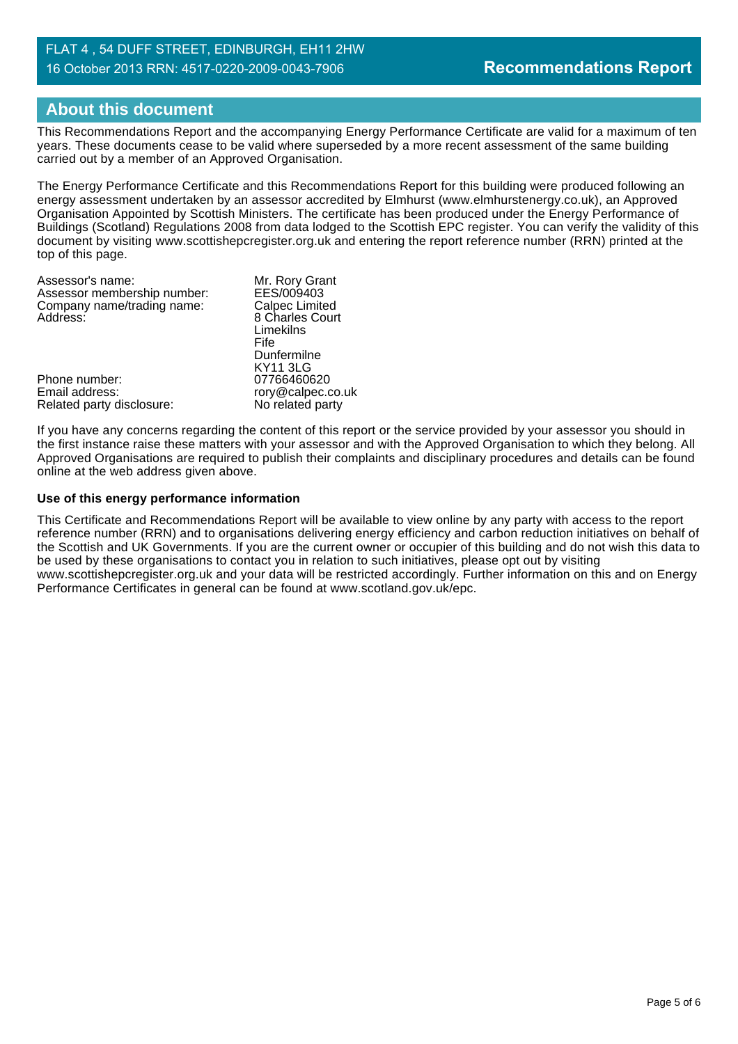### FLAT 4 , 54 DUFF STREET, EDINBURGH, EH11 2HW 16 October 2013 RRN: 4517-0220-2009-0043-7906

# **About this document**

This Recommendations Report and the accompanying Energy Performance Certificate are valid for a maximum of ten years. These documents cease to be valid where superseded by a more recent assessment of the same building carried out by a member of an Approved Organisation.

The Energy Performance Certificate and this Recommendations Report for this building were produced following an energy assessment undertaken by an assessor accredited by Elmhurst (www.elmhurstenergy.co.uk), an Approved Organisation Appointed by Scottish Ministers. The certificate has been produced under the Energy Performance of Buildings (Scotland) Regulations 2008 from data lodged to the Scottish EPC register. You can verify the validity of this document by visiting www.scottishepcregister.org.uk and entering the report reference number (RRN) printed at the top of this page.

| Assessor's name:            | Mr. Rory Grant        |
|-----------------------------|-----------------------|
| Assessor membership number: | EES/009403            |
| Company name/trading name:  | <b>Calpec Limited</b> |
| Address:                    | 8 Charles Court       |
|                             | Limekilns             |
|                             | Fife                  |
|                             | Dunfermilne           |
|                             | <b>KY11 3LG</b>       |
| Phone number:               | 07766460620           |
| Email address:              | rory@calpec.co.uk     |
| Related party disclosure:   | No related party      |
|                             |                       |

If you have any concerns regarding the content of this report or the service provided by your assessor you should in the first instance raise these matters with your assessor and with the Approved Organisation to which they belong. All Approved Organisations are required to publish their complaints and disciplinary procedures and details can be found online at the web address given above.

#### **Use of this energy performance information**

This Certificate and Recommendations Report will be available to view online by any party with access to the report reference number (RRN) and to organisations delivering energy efficiency and carbon reduction initiatives on behalf of the Scottish and UK Governments. If you are the current owner or occupier of this building and do not wish this data to be used by these organisations to contact you in relation to such initiatives, please opt out by visiting www.scottishepcregister.org.uk and your data will be restricted accordingly. Further information on this and on Energy Performance Certificates in general can be found at www.scotland.gov.uk/epc.